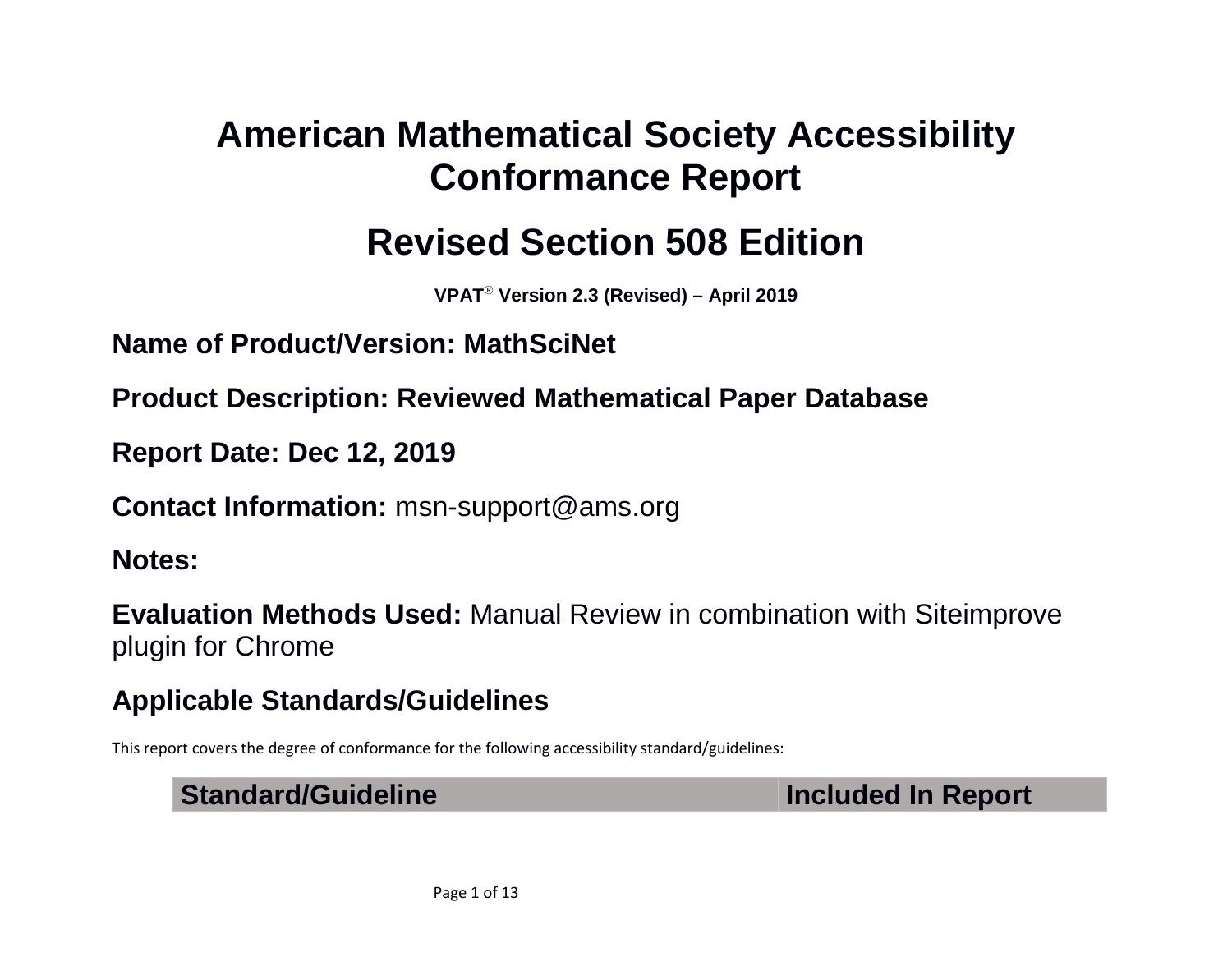# **American Mathematical Society Accessibility Conformance Report**

# **Revised Section 508 Edition**

**VPAT**® **Version 2.3 (Revised) – April 2019**

**Name of Product/Version: MathSciNet**

**Product Description: Reviewed Mathematical Paper Database**

**Report Date: Dec 12, 2019**

**Contact Information:** msn-support@ams.org

**Notes:** 

**Evaluation Methods Used:** Manual Review in combination with Siteimprove plugin for Chrome

### **Applicable Standards/Guidelines**

This report covers the degree of conformance for the following accessibility standard/guidelines:

#### **Standard/Guideline Included In Report**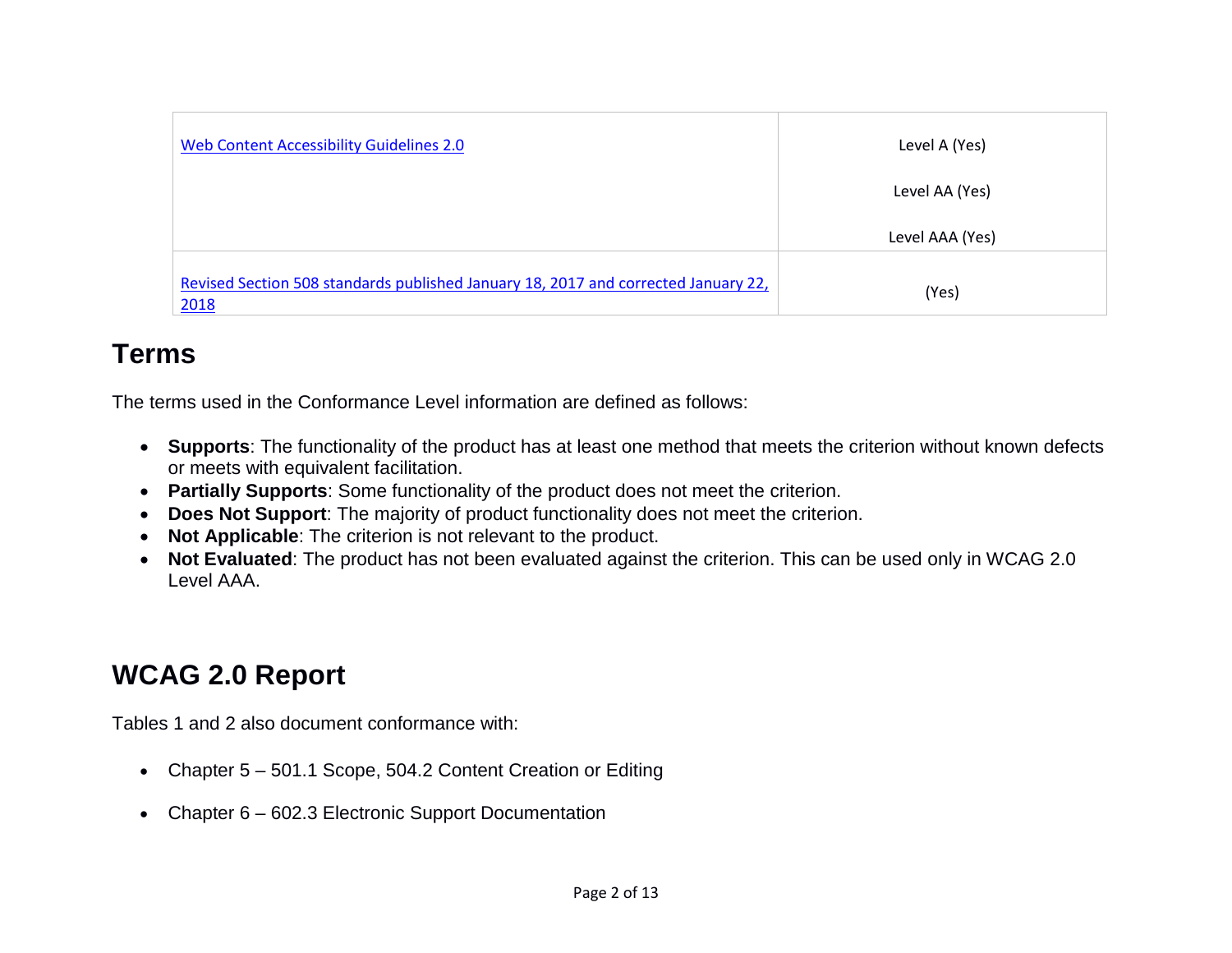| Web Content Accessibility Guidelines 2.0                                                   | Level A (Yes)   |
|--------------------------------------------------------------------------------------------|-----------------|
|                                                                                            | Level AA (Yes)  |
|                                                                                            | Level AAA (Yes) |
| Revised Section 508 standards published January 18, 2017 and corrected January 22,<br>2018 | (Yes)           |

#### **Terms**

The terms used in the Conformance Level information are defined as follows:

- **Supports**: The functionality of the product has at least one method that meets the criterion without known defects or meets with equivalent facilitation.
- **Partially Supports**: Some functionality of the product does not meet the criterion.
- **Does Not Support**: The majority of product functionality does not meet the criterion.
- **Not Applicable**: The criterion is not relevant to the product.
- **Not Evaluated**: The product has not been evaluated against the criterion. This can be used only in WCAG 2.0 Level AAA.

## **WCAG 2.0 Report**

Tables 1 and 2 also document conformance with:

- Chapter 5 501.1 Scope, 504.2 Content Creation or Editing
- Chapter 6 602.3 Electronic Support Documentation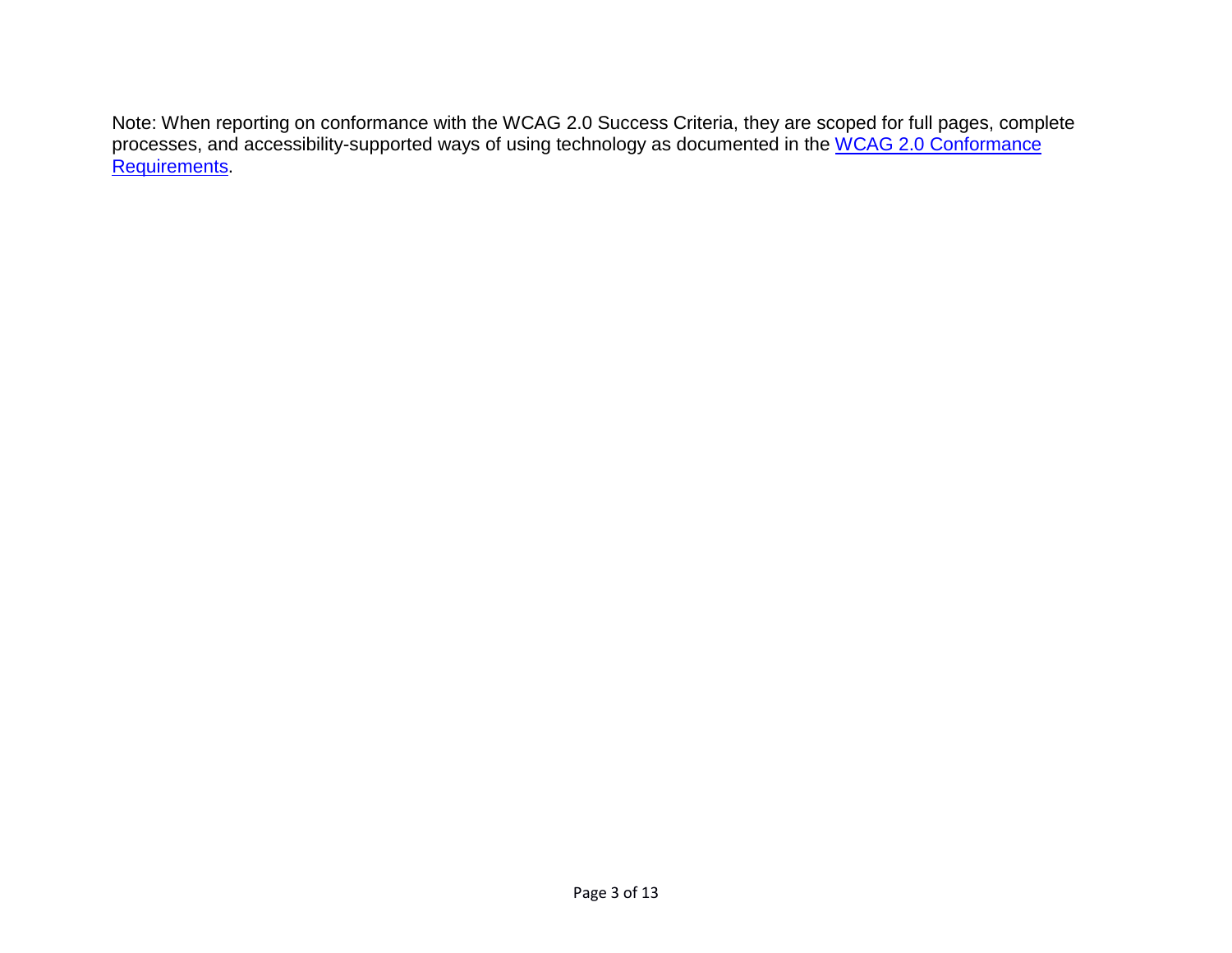Note: When reporting on conformance with the WCAG 2.0 Success Criteria, they are scoped for full pages, complete processes, and accessibility-supported ways of using technology as documented in the WCAG 2.0 Conformance [Requirements.](https://www.w3.org/TR/WCAG20/#conformance-reqs)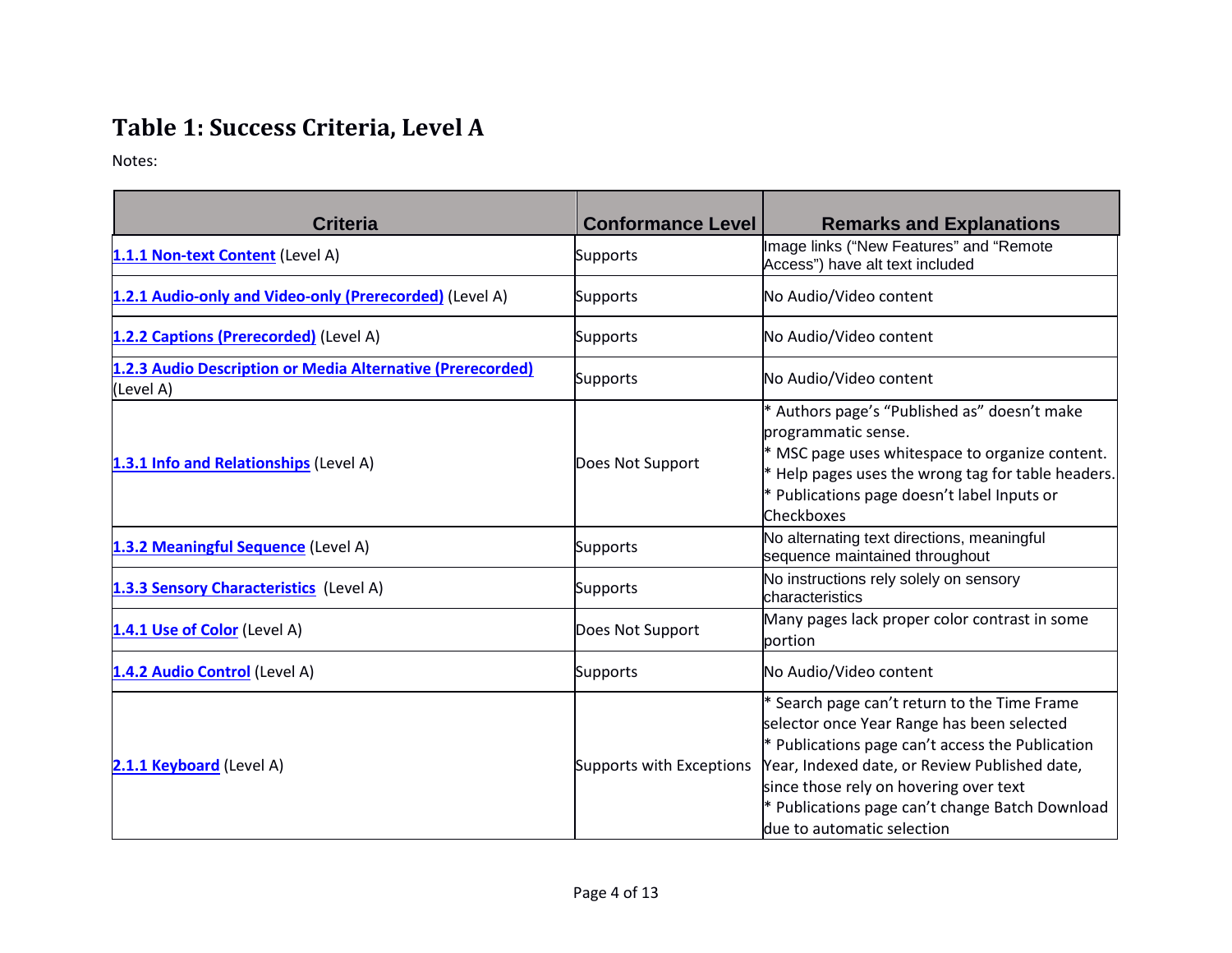### **Table 1: Success Criteria, Level A**

Notes:

| <b>Criteria</b>                                                         | <b>Conformance Level</b> | <b>Remarks and Explanations</b>                                                                                                                                                                                                                                                                                              |
|-------------------------------------------------------------------------|--------------------------|------------------------------------------------------------------------------------------------------------------------------------------------------------------------------------------------------------------------------------------------------------------------------------------------------------------------------|
| 1.1.1 Non-text Content (Level A)                                        | Supports                 | Image links ("New Features" and "Remote<br>Access") have alt text included                                                                                                                                                                                                                                                   |
| 1.2.1 Audio-only and Video-only (Prerecorded) (Level A)                 | Supports                 | No Audio/Video content                                                                                                                                                                                                                                                                                                       |
| 1.2.2 Captions (Prerecorded) (Level A)                                  | <b>Supports</b>          | No Audio/Video content                                                                                                                                                                                                                                                                                                       |
| 1.2.3 Audio Description or Media Alternative (Prerecorded)<br>(Level A) | Supports                 | No Audio/Video content                                                                                                                                                                                                                                                                                                       |
| 1.3.1 Info and Relationships (Level A)                                  | Does Not Support         | * Authors page's "Published as" doesn't make<br>programmatic sense.<br>* MSC page uses whitespace to organize content.<br>* Help pages uses the wrong tag for table headers.<br>* Publications page doesn't label Inputs or<br>Checkboxes                                                                                    |
| 1.3.2 Meaningful Sequence (Level A)                                     | Supports                 | No alternating text directions, meaningful<br>sequence maintained throughout                                                                                                                                                                                                                                                 |
| 1.3.3 Sensory Characteristics (Level A)                                 | Supports                 | No instructions rely solely on sensory<br>characteristics                                                                                                                                                                                                                                                                    |
| 1.4.1 Use of Color (Level A)                                            | Does Not Support         | Many pages lack proper color contrast in some<br>portion                                                                                                                                                                                                                                                                     |
| 1.4.2 Audio Control (Level A)                                           | Supports                 | No Audio/Video content                                                                                                                                                                                                                                                                                                       |
| 2.1.1 Keyboard (Level A)                                                | Supports with Exceptions | * Search page can't return to the Time Frame<br>selector once Year Range has been selected<br>$*$ Publications page can't access the Publication<br>Year, Indexed date, or Review Published date,<br>since those rely on hovering over text<br>* Publications page can't change Batch Download<br>due to automatic selection |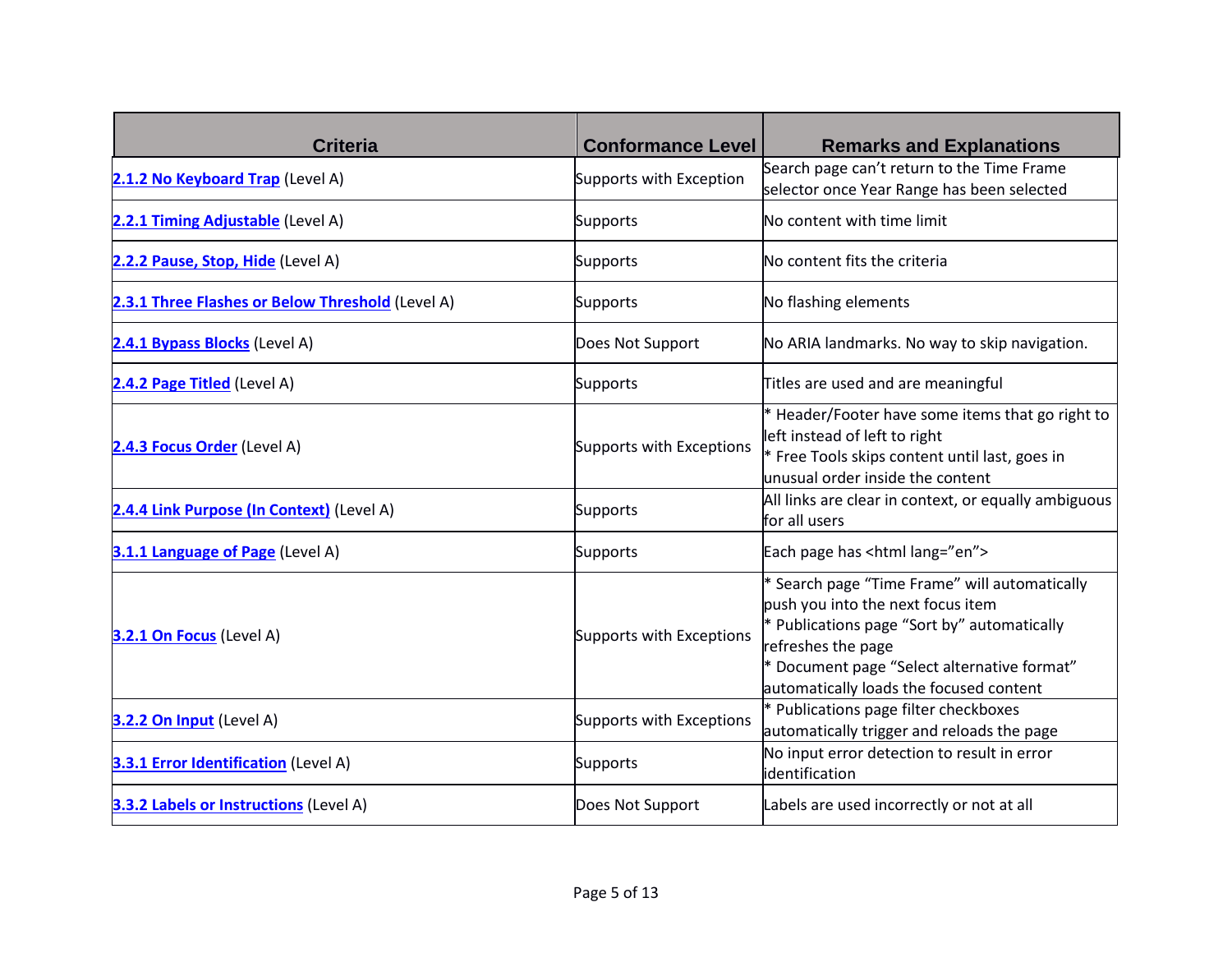| <b>Criteria</b>                                  | <b>Conformance Level</b> | <b>Remarks and Explanations</b>                                                                                                                                                                                                                   |
|--------------------------------------------------|--------------------------|---------------------------------------------------------------------------------------------------------------------------------------------------------------------------------------------------------------------------------------------------|
| 2.1.2 No Keyboard Trap (Level A)                 | Supports with Exception  | Search page can't return to the Time Frame<br>selector once Year Range has been selected                                                                                                                                                          |
| 2.2.1 Timing Adjustable (Level A)                | <b>Supports</b>          | No content with time limit                                                                                                                                                                                                                        |
| 2.2.2 Pause, Stop, Hide (Level A)                | <b>Supports</b>          | No content fits the criteria                                                                                                                                                                                                                      |
| 2.3.1 Three Flashes or Below Threshold (Level A) | <b>Supports</b>          | No flashing elements                                                                                                                                                                                                                              |
| 2.4.1 Bypass Blocks (Level A)                    | Does Not Support         | No ARIA landmarks. No way to skip navigation.                                                                                                                                                                                                     |
| 2.4.2 Page Titled (Level A)                      | <b>Supports</b>          | Titles are used and are meaningful                                                                                                                                                                                                                |
| 2.4.3 Focus Order (Level A)                      | Supports with Exceptions | * Header/Footer have some items that go right to<br>left instead of left to right<br>* Free Tools skips content until last, goes in<br>unusual order inside the content                                                                           |
| 2.4.4 Link Purpose (In Context) (Level A)        | <b>Supports</b>          | All links are clear in context, or equally ambiguous<br>for all users                                                                                                                                                                             |
| 3.1.1 Language of Page (Level A)                 | <b>Supports</b>          | Each page has <html lang="en"></html>                                                                                                                                                                                                             |
| 3.2.1 On Focus (Level A)                         | Supports with Exceptions | * Search page "Time Frame" will automatically<br>push you into the next focus item<br>* Publications page "Sort by" automatically<br>refreshes the page<br>* Document page "Select alternative format"<br>automatically loads the focused content |
| 3.2.2 On Input (Level A)                         | Supports with Exceptions | * Publications page filter checkboxes<br>automatically trigger and reloads the page                                                                                                                                                               |
| <b>3.3.1 Error Identification</b> (Level A)      | <b>Supports</b>          | No input error detection to result in error<br>identification                                                                                                                                                                                     |
| <b>3.3.2 Labels or Instructions (Level A)</b>    | Does Not Support         | Labels are used incorrectly or not at all                                                                                                                                                                                                         |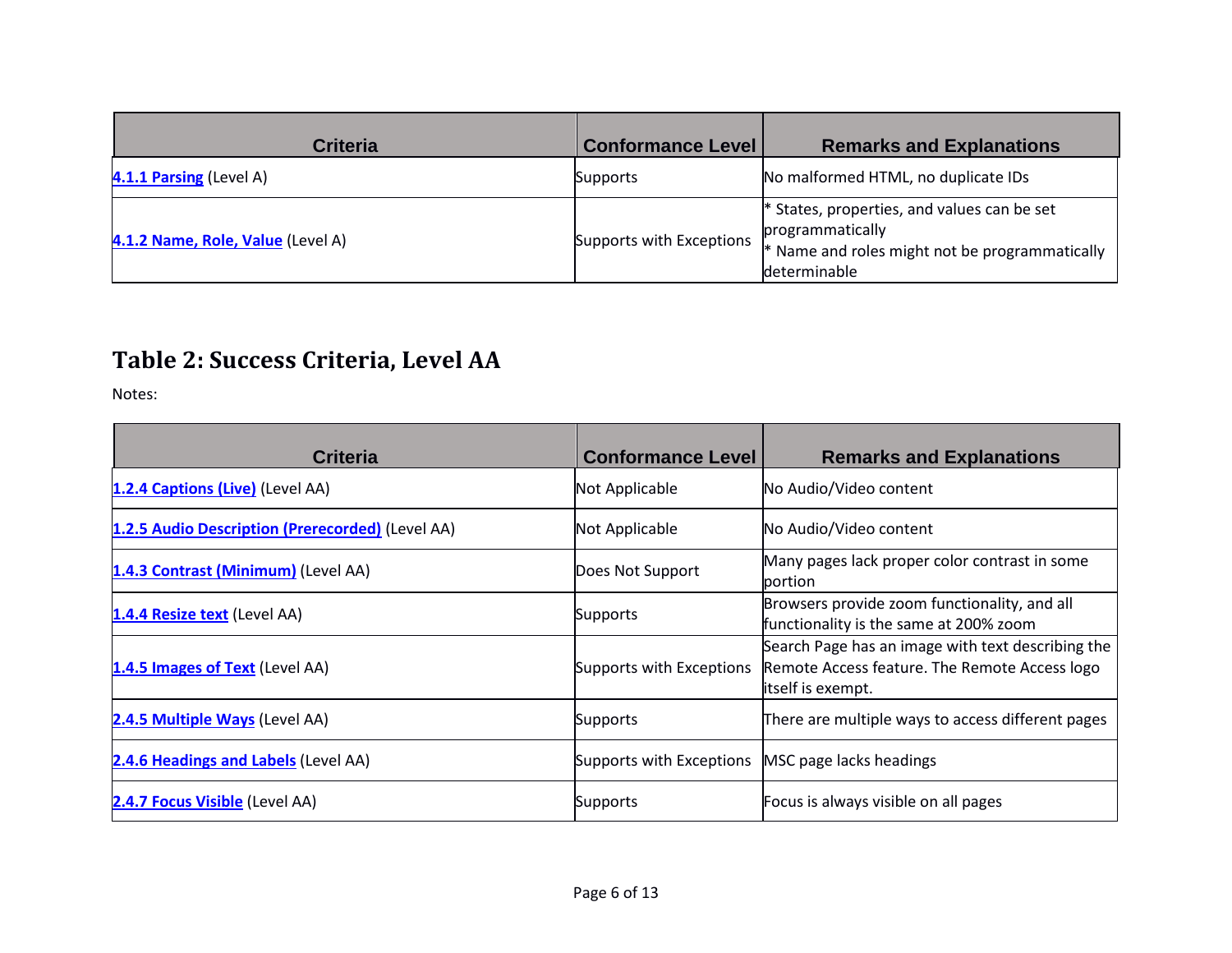| Criteria                          | <b>Conformance Level</b> | <b>Remarks and Explanations</b>                                                                                                     |
|-----------------------------------|--------------------------|-------------------------------------------------------------------------------------------------------------------------------------|
| 4.1.1 Parsing (Level A)           | Supports                 | No malformed HTML, no duplicate IDs                                                                                                 |
| 4.1.2 Name, Role, Value (Level A) | Supports with Exceptions | * States, properties, and values can be set<br>programmatically<br>$*$ Name and roles might not be programmatically<br>determinable |

#### **Table 2: Success Criteria, Level AA**

Notes:

| <b>Criteria</b>                                  | <b>Conformance Level</b>                         | <b>Remarks and Explanations</b>                                                                                         |
|--------------------------------------------------|--------------------------------------------------|-------------------------------------------------------------------------------------------------------------------------|
| 1.2.4 Captions (Live) (Level AA)                 | Not Applicable                                   | No Audio/Video content                                                                                                  |
| 1.2.5 Audio Description (Prerecorded) (Level AA) | Not Applicable                                   | No Audio/Video content                                                                                                  |
| 1.4.3 Contrast (Minimum) (Level AA)              | Does Not Support                                 | Many pages lack proper color contrast in some<br>portion                                                                |
| 1.4.4 Resize text (Level AA)                     | Supports                                         | Browsers provide zoom functionality, and all<br>functionality is the same at 200% zoom                                  |
| 1.4.5 Images of Text (Level AA)                  | Supports with Exceptions                         | Search Page has an image with text describing the<br>Remote Access feature. The Remote Access logo<br>itself is exempt. |
| 2.4.5 Multiple Ways (Level AA)                   | Supports                                         | There are multiple ways to access different pages                                                                       |
| 2.4.6 Headings and Labels (Level AA)             | Supports with Exceptions MSC page lacks headings |                                                                                                                         |
| 2.4.7 Focus Visible (Level AA)                   | Supports                                         | Focus is always visible on all pages                                                                                    |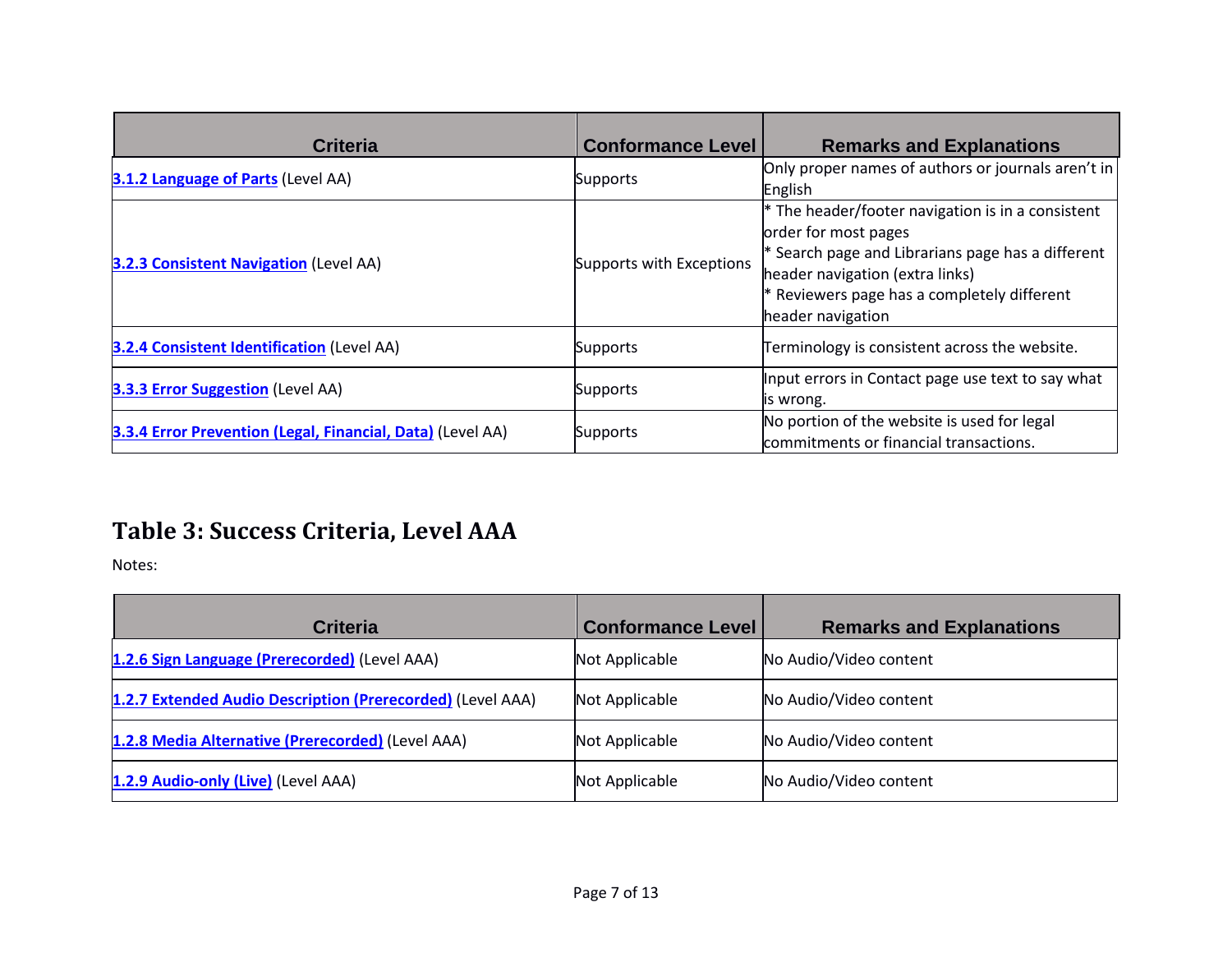| <b>Criteria</b>                                            | <b>Conformance Level</b> | <b>Remarks and Explanations</b>                                                                                                                                                                                                         |
|------------------------------------------------------------|--------------------------|-----------------------------------------------------------------------------------------------------------------------------------------------------------------------------------------------------------------------------------------|
| <b>3.1.2 Language of Parts (Level AA)</b>                  | <b>Supports</b>          | Only proper names of authors or journals aren't in<br>English                                                                                                                                                                           |
| <b>3.2.3 Consistent Navigation (Level AA)</b>              | Supports with Exceptions | $*$ The header/footer navigation is in a consistent<br>order for most pages<br>$*$ Search page and Librarians page has a different<br>header navigation (extra links)<br>Reviewers page has a completely different<br>header navigation |
| <b>3.2.4 Consistent Identification (Level AA)</b>          | Supports                 | Terminology is consistent across the website.                                                                                                                                                                                           |
| <b>3.3.3 Error Suggestion (Level AA)</b>                   | <b>Supports</b>          | Input errors in Contact page use text to say what<br>is wrong.                                                                                                                                                                          |
| 3.3.4 Error Prevention (Legal, Financial, Data) (Level AA) | <b>Supports</b>          | No portion of the website is used for legal<br>commitments or financial transactions.                                                                                                                                                   |

### **Table 3: Success Criteria, Level AAA**

Notes:

| <b>Criteria</b>                                            | <b>Conformance Level</b> | <b>Remarks and Explanations</b> |
|------------------------------------------------------------|--------------------------|---------------------------------|
| 1.2.6 Sign Language (Prerecorded) (Level AAA)              | Not Applicable           | No Audio/Video content          |
| 1.2.7 Extended Audio Description (Prerecorded) (Level AAA) | Not Applicable           | No Audio/Video content          |
| 1.2.8 Media Alternative (Prerecorded) (Level AAA)          | Not Applicable           | No Audio/Video content          |
| 1.2.9 Audio-only (Live) (Level AAA)                        | Not Applicable           | No Audio/Video content          |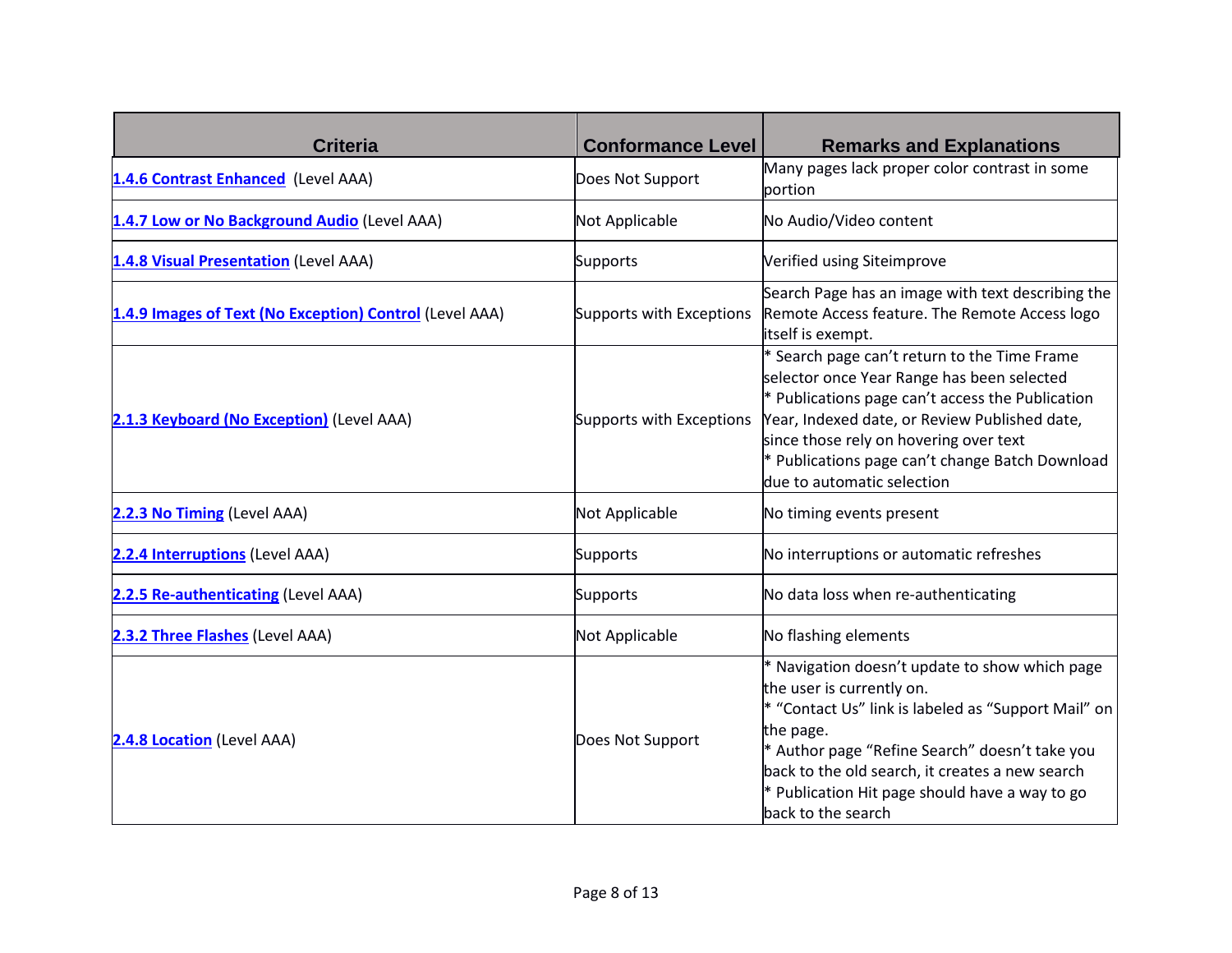| <b>Criteria</b>                                         | <b>Conformance Level</b> | <b>Remarks and Explanations</b>                                                                                                                                                                                                                                                                                                |
|---------------------------------------------------------|--------------------------|--------------------------------------------------------------------------------------------------------------------------------------------------------------------------------------------------------------------------------------------------------------------------------------------------------------------------------|
| 1.4.6 Contrast Enhanced (Level AAA)                     | Does Not Support         | Many pages lack proper color contrast in some<br>portion                                                                                                                                                                                                                                                                       |
| 1.4.7 Low or No Background Audio (Level AAA)            | Not Applicable           | No Audio/Video content                                                                                                                                                                                                                                                                                                         |
| 1.4.8 Visual Presentation (Level AAA)                   | Supports                 | Verified using Siteimprove                                                                                                                                                                                                                                                                                                     |
| 1.4.9 Images of Text (No Exception) Control (Level AAA) | Supports with Exceptions | Search Page has an image with text describing the<br>Remote Access feature. The Remote Access logo<br>itself is exempt.                                                                                                                                                                                                        |
| 2.1.3 Keyboard (No Exception) (Level AAA)               | Supports with Exceptions | * Search page can't return to the Time Frame<br>selector once Year Range has been selected<br>$*$ Publications page can't access the Publication<br>Year, Indexed date, or Review Published date,<br>since those rely on hovering over text<br>* Publications page can't change Batch Download<br>due to automatic selection   |
| 2.2.3 No Timing (Level AAA)                             | Not Applicable           | No timing events present                                                                                                                                                                                                                                                                                                       |
| 2.2.4 Interruptions (Level AAA)                         | Supports                 | No interruptions or automatic refreshes                                                                                                                                                                                                                                                                                        |
| 2.2.5 Re-authenticating (Level AAA)                     | Supports                 | No data loss when re-authenticating                                                                                                                                                                                                                                                                                            |
| 2.3.2 Three Flashes (Level AAA)                         | Not Applicable           | No flashing elements                                                                                                                                                                                                                                                                                                           |
| 2.4.8 Location (Level AAA)                              | Does Not Support         | * Navigation doesn't update to show which page<br>the user is currently on.<br>* "Contact Us" link is labeled as "Support Mail" on<br>the page.<br>* Author page "Refine Search" doesn't take you<br>back to the old search, it creates a new search<br>$*$ Publication Hit page should have a way to go<br>back to the search |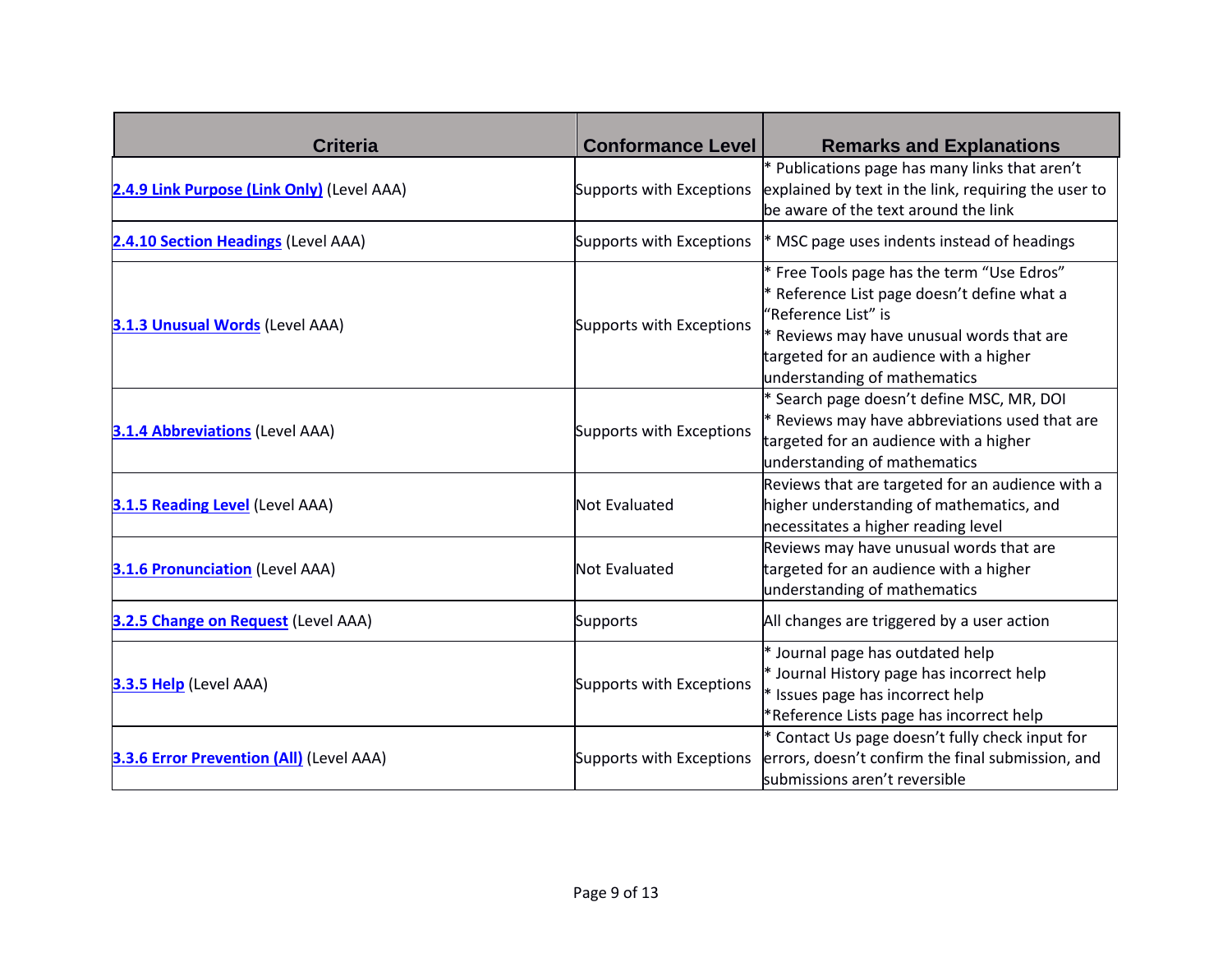| <b>Criteria</b>                                 | <b>Conformance Level</b> | <b>Remarks and Explanations</b>                                                                                                                                                                                                         |
|-------------------------------------------------|--------------------------|-----------------------------------------------------------------------------------------------------------------------------------------------------------------------------------------------------------------------------------------|
| 2.4.9 Link Purpose (Link Only) (Level AAA)      | Supports with Exceptions | * Publications page has many links that aren't<br>explained by text in the link, requiring the user to<br>be aware of the text around the link                                                                                          |
| 2.4.10 Section Headings (Level AAA)             | Supports with Exceptions | * MSC page uses indents instead of headings                                                                                                                                                                                             |
| 3.1.3 Unusual Words (Level AAA)                 | Supports with Exceptions | * Free Tools page has the term "Use Edros"<br>* Reference List page doesn't define what a<br>"Reference List" is<br>* Reviews may have unusual words that are<br>targeted for an audience with a higher<br>understanding of mathematics |
| <b>3.1.4 Abbreviations (Level AAA)</b>          | Supports with Exceptions | * Search page doesn't define MSC, MR, DOI<br>* Reviews may have abbreviations used that are<br>targeted for an audience with a higher<br>understanding of mathematics                                                                   |
| 3.1.5 Reading Level (Level AAA)                 | <b>Not Evaluated</b>     | Reviews that are targeted for an audience with a<br>higher understanding of mathematics, and<br>necessitates a higher reading level                                                                                                     |
| <b>3.1.6 Pronunciation</b> (Level AAA)          | <b>Not Evaluated</b>     | Reviews may have unusual words that are<br>targeted for an audience with a higher<br>understanding of mathematics                                                                                                                       |
| 3.2.5 Change on Request (Level AAA)             | Supports                 | All changes are triggered by a user action                                                                                                                                                                                              |
| 3.3.5 Help (Level AAA)                          | Supports with Exceptions | * Journal page has outdated help<br>* Journal History page has incorrect help<br>* Issues page has incorrect help<br>*Reference Lists page has incorrect help                                                                           |
| <b>3.3.6 Error Prevention (All)</b> (Level AAA) | Supports with Exceptions | * Contact Us page doesn't fully check input for<br>errors, doesn't confirm the final submission, and<br>submissions aren't reversible                                                                                                   |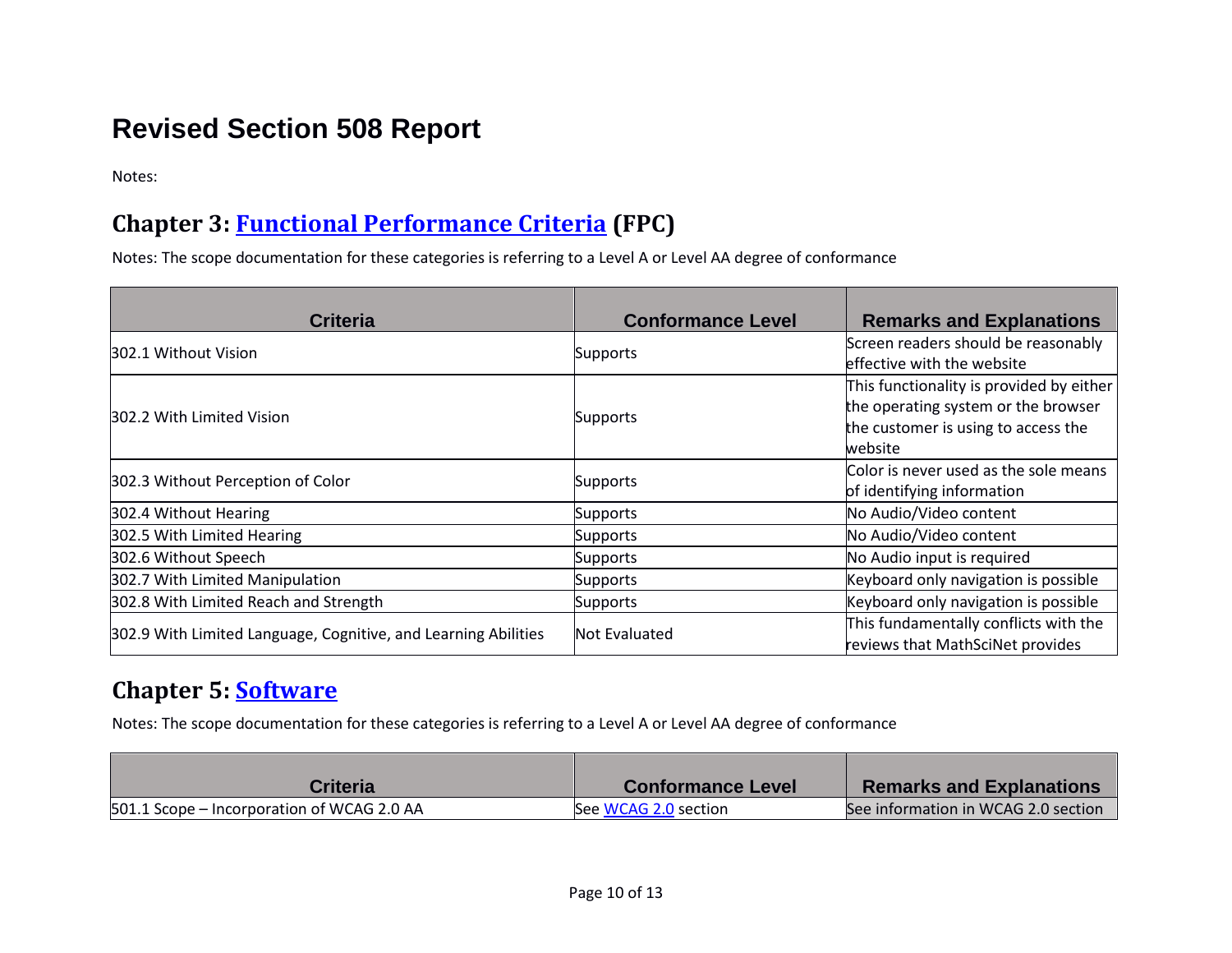## **Revised Section 508 Report**

Notes:

#### **Chapter 3: [Functional Performance Criteria](https://www.access-board.gov/guidelines-and-standards/communications-and-it/about-the-ict-refresh/final-rule/text-of-the-standards-and-guidelines#302-functional-performance-criteria) (FPC)**

Notes: The scope documentation for these categories is referring to a Level A or Level AA degree of conformance

| <b>Criteria</b>                                                | <b>Conformance Level</b> | <b>Remarks and Explanations</b>          |
|----------------------------------------------------------------|--------------------------|------------------------------------------|
| 302.1 Without Vision                                           | <b>Supports</b>          | Screen readers should be reasonably      |
|                                                                |                          | effective with the website               |
|                                                                |                          | This functionality is provided by either |
| 302.2 With Limited Vision                                      | <b>Supports</b>          | the operating system or the browser      |
|                                                                |                          | the customer is using to access the      |
|                                                                |                          | website                                  |
| 302.3 Without Perception of Color                              |                          | Color is never used as the sole means    |
|                                                                | <b>Supports</b>          | of identifying information               |
| 302.4 Without Hearing                                          | <b>Supports</b>          | No Audio/Video content                   |
| 302.5 With Limited Hearing                                     | <b>Supports</b>          | No Audio/Video content                   |
| 302.6 Without Speech                                           | Supports                 | No Audio input is required               |
| 302.7 With Limited Manipulation                                | <b>Supports</b>          | Keyboard only navigation is possible     |
| 302.8 With Limited Reach and Strength                          | <b>Supports</b>          | Keyboard only navigation is possible     |
| 302.9 With Limited Language, Cognitive, and Learning Abilities | Not Evaluated            | This fundamentally conflicts with the    |
|                                                                |                          | reviews that MathSciNet provides         |

#### **Chapter 5: [Software](https://www.access-board.gov/guidelines-and-standards/communications-and-it/about-the-ict-refresh/final-rule/text-of-the-standards-and-guidelines#501-general)**

Notes: The scope documentation for these categories is referring to a Level A or Level AA degree of conformance

| <b>Criteria</b>                            | <b>Conformance Level</b> | <b>Remarks and Explanations</b>     |
|--------------------------------------------|--------------------------|-------------------------------------|
| 501.1 Scope – Incorporation of WCAG 2.0 AA | See WCAG 2.0 section     | See information in WCAG 2.0 section |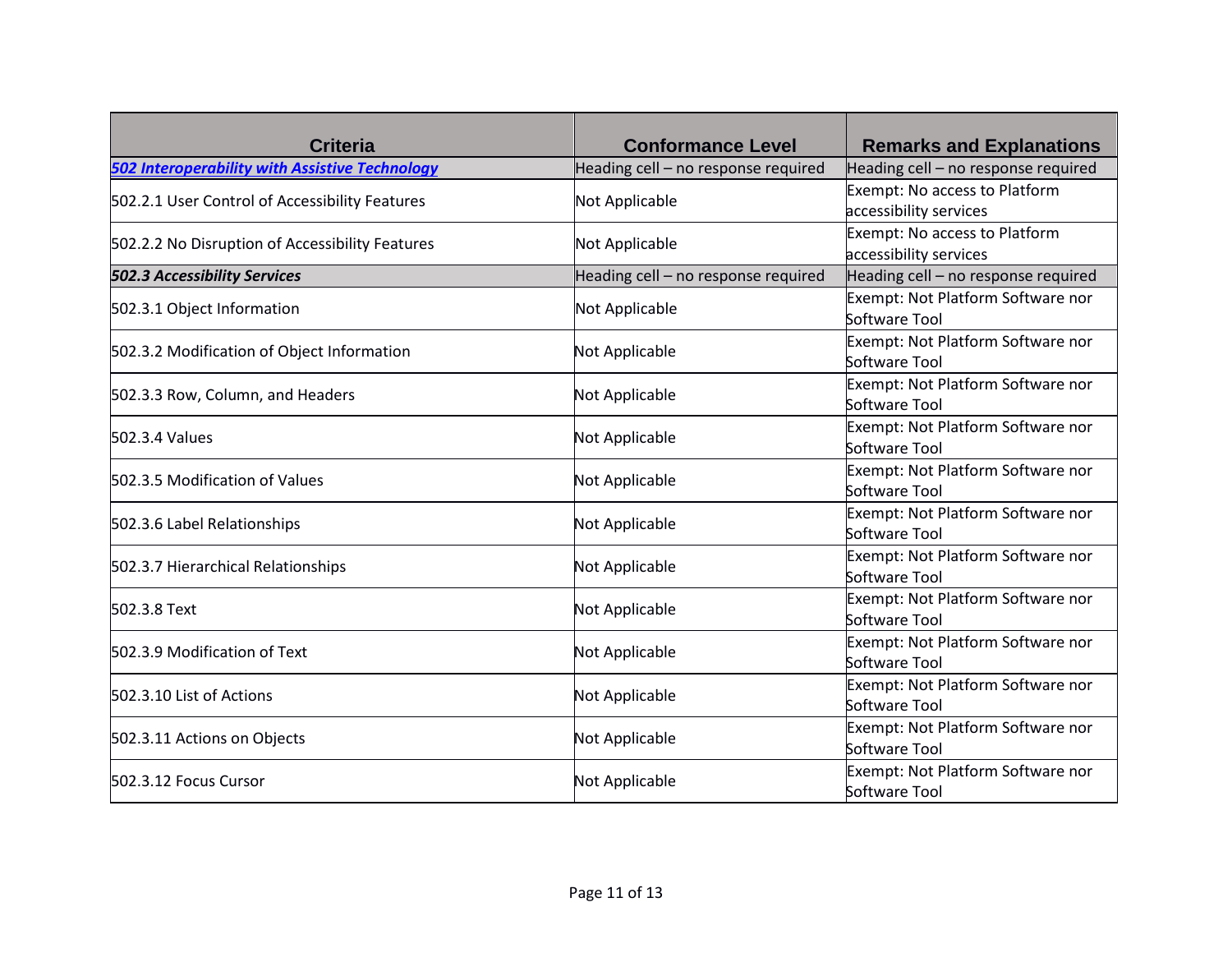| <b>Criteria</b>                                       | <b>Conformance Level</b>            | <b>Remarks and Explanations</b>                         |
|-------------------------------------------------------|-------------------------------------|---------------------------------------------------------|
| <b>502 Interoperability with Assistive Technology</b> | Heading cell - no response required | Heading cell - no response required                     |
| 502.2.1 User Control of Accessibility Features        | Not Applicable                      | Exempt: No access to Platform<br>accessibility services |
| 502.2.2 No Disruption of Accessibility Features       | Not Applicable                      | Exempt: No access to Platform<br>accessibility services |
| <b>502.3 Accessibility Services</b>                   | Heading cell - no response required | Heading cell - no response required                     |
| 502.3.1 Object Information                            | Not Applicable                      | Exempt: Not Platform Software nor<br>Software Tool      |
| 502.3.2 Modification of Object Information            | Not Applicable                      | Exempt: Not Platform Software nor<br>Software Tool      |
| 502.3.3 Row, Column, and Headers                      | Not Applicable                      | Exempt: Not Platform Software nor<br>Software Tool      |
| 502.3.4 Values                                        | Not Applicable                      | Exempt: Not Platform Software nor<br>Software Tool      |
| 502.3.5 Modification of Values                        | Not Applicable                      | Exempt: Not Platform Software nor<br>Software Tool      |
| 502.3.6 Label Relationships                           | Not Applicable                      | Exempt: Not Platform Software nor<br>Software Tool      |
| 502.3.7 Hierarchical Relationships                    | Not Applicable                      | Exempt: Not Platform Software nor<br>Software Tool      |
| 502.3.8 Text                                          | Not Applicable                      | Exempt: Not Platform Software nor<br>Software Tool      |
| 502.3.9 Modification of Text                          | Not Applicable                      | Exempt: Not Platform Software nor<br>Software Tool      |
| 502.3.10 List of Actions                              | Not Applicable                      | Exempt: Not Platform Software nor<br>Software Tool      |
| 502.3.11 Actions on Objects                           | Not Applicable                      | Exempt: Not Platform Software nor<br>Software Tool      |
| 502.3.12 Focus Cursor                                 | Not Applicable                      | Exempt: Not Platform Software nor<br>Software Tool      |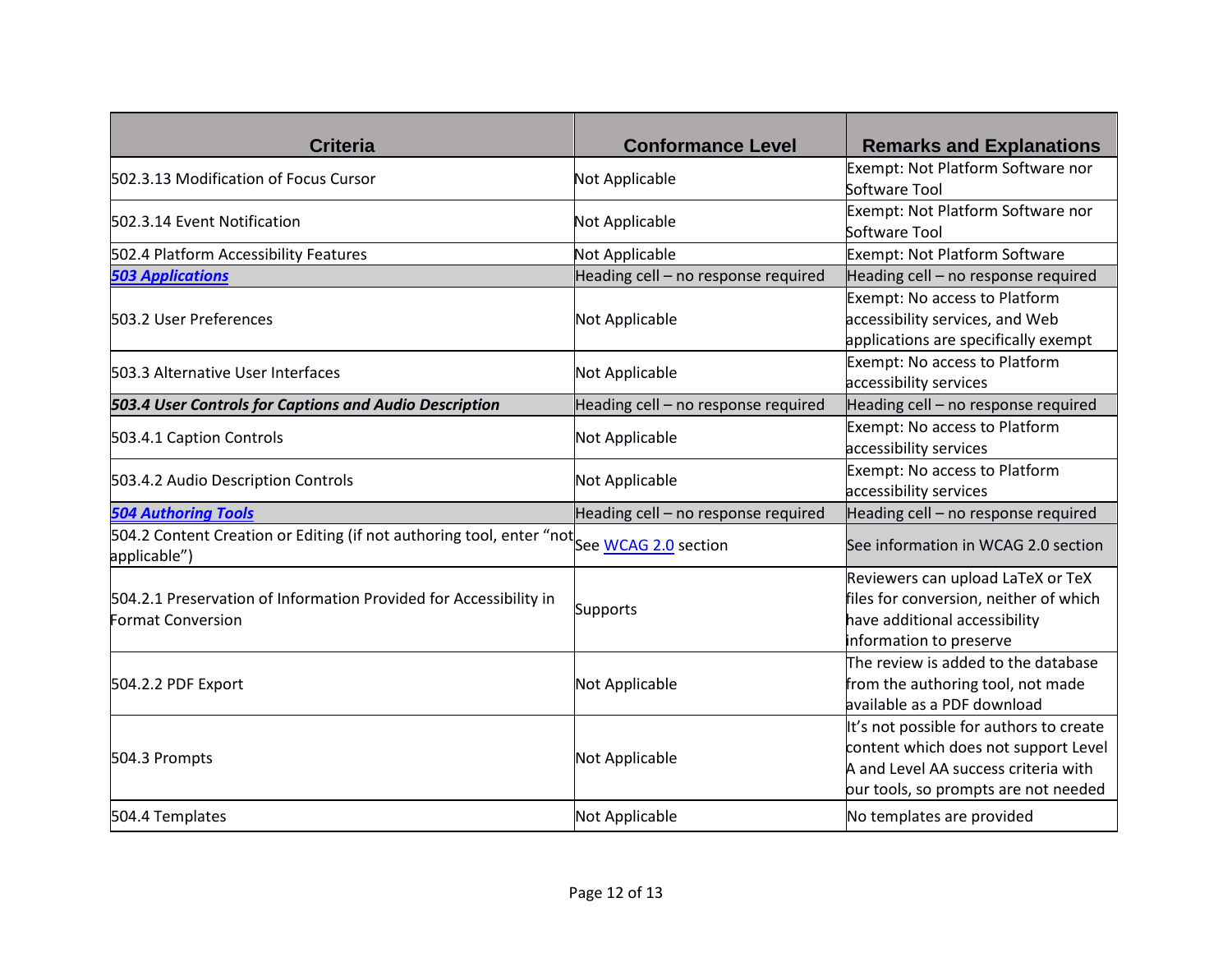| <b>Criteria</b>                                                                                           | <b>Conformance Level</b>            | <b>Remarks and Explanations</b>                                                                                                                                 |
|-----------------------------------------------------------------------------------------------------------|-------------------------------------|-----------------------------------------------------------------------------------------------------------------------------------------------------------------|
| 502.3.13 Modification of Focus Cursor                                                                     | Not Applicable                      | Exempt: Not Platform Software nor<br>Software Tool                                                                                                              |
| 502.3.14 Event Notification                                                                               | Not Applicable                      | Exempt: Not Platform Software nor<br>Software Tool                                                                                                              |
| 502.4 Platform Accessibility Features                                                                     | <b>Not Applicable</b>               | Exempt: Not Platform Software                                                                                                                                   |
| <b>503 Applications</b>                                                                                   | Heading cell - no response required | Heading cell - no response required                                                                                                                             |
| 503.2 User Preferences                                                                                    | Not Applicable                      | Exempt: No access to Platform<br>accessibility services, and Web<br>applications are specifically exempt                                                        |
| 503.3 Alternative User Interfaces                                                                         | Not Applicable                      | Exempt: No access to Platform<br>accessibility services                                                                                                         |
| 503.4 User Controls for Captions and Audio Description                                                    | Heading cell - no response required | Heading cell - no response required                                                                                                                             |
| 503.4.1 Caption Controls                                                                                  | Not Applicable                      | Exempt: No access to Platform<br>accessibility services                                                                                                         |
| 503.4.2 Audio Description Controls                                                                        | Not Applicable                      | Exempt: No access to Platform<br>accessibility services                                                                                                         |
| <b>504 Authoring Tools</b>                                                                                | Heading cell - no response required | Heading cell - no response required                                                                                                                             |
| 504.2 Content Creation or Editing (if not authoring tool, enter "not See WCAG 2.0 section<br>applicable") |                                     | See information in WCAG 2.0 section                                                                                                                             |
| 504.2.1 Preservation of Information Provided for Accessibility in<br><b>Format Conversion</b>             | <b>Supports</b>                     | Reviewers can upload LaTeX or TeX<br>files for conversion, neither of which<br>have additional accessibility<br>information to preserve                         |
| 504.2.2 PDF Export                                                                                        | Not Applicable                      | The review is added to the database<br>from the authoring tool, not made<br>available as a PDF download                                                         |
| 504.3 Prompts                                                                                             | Not Applicable                      | It's not possible for authors to create<br>content which does not support Level<br>A and Level AA success criteria with<br>bur tools, so prompts are not needed |
| 504.4 Templates                                                                                           | Not Applicable                      | No templates are provided                                                                                                                                       |